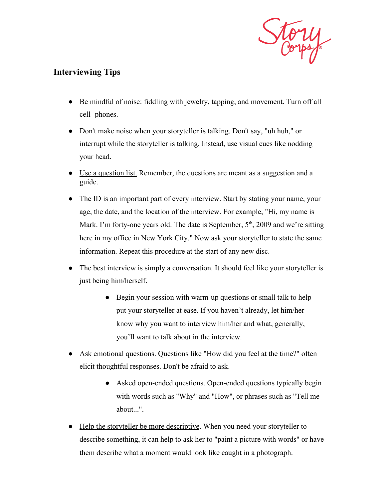

## **Interviewing Tips**

- Be mindful of noise: fiddling with jewelry, tapping, and movement. Turn off all cell- phones.
- Don't make noise when your storyteller is talking. Don't say, "uh huh," or interrupt while the storyteller is talking. Instead, use visual cues like nodding your head.
- Use a question list. Remember, the questions are meant as a suggestion and a guide.
- The ID is an important part of every interview. Start by stating your name, your age, the date, and the location of the interview. For example, "Hi, my name is Mark. I'm forty-one years old. The date is September,  $5<sup>th</sup>$ , 2009 and we're sitting here in my office in New York City." Now ask your storyteller to state the same information. Repeat this procedure at the start of any new disc.
- The best interview is simply a conversation. It should feel like your storyteller is just being him/herself.
	- Begin your session with warm-up questions or small talk to help put your storyteller at ease. If you haven't already, let him/her know why you want to interview him/her and what, generally, you'll want to talk about in the interview.
- Ask emotional questions. Questions like "How did you feel at the time?" often elicit thoughtful responses. Don't be afraid to ask.
	- Asked open-ended questions. Open-ended questions typically begin with words such as "Why" and "How", or phrases such as "Tell me about...".
- Help the storyteller be more descriptive. When you need your storyteller to describe something, it can help to ask her to "paint a picture with words" or have them describe what a moment would look like caught in a photograph.